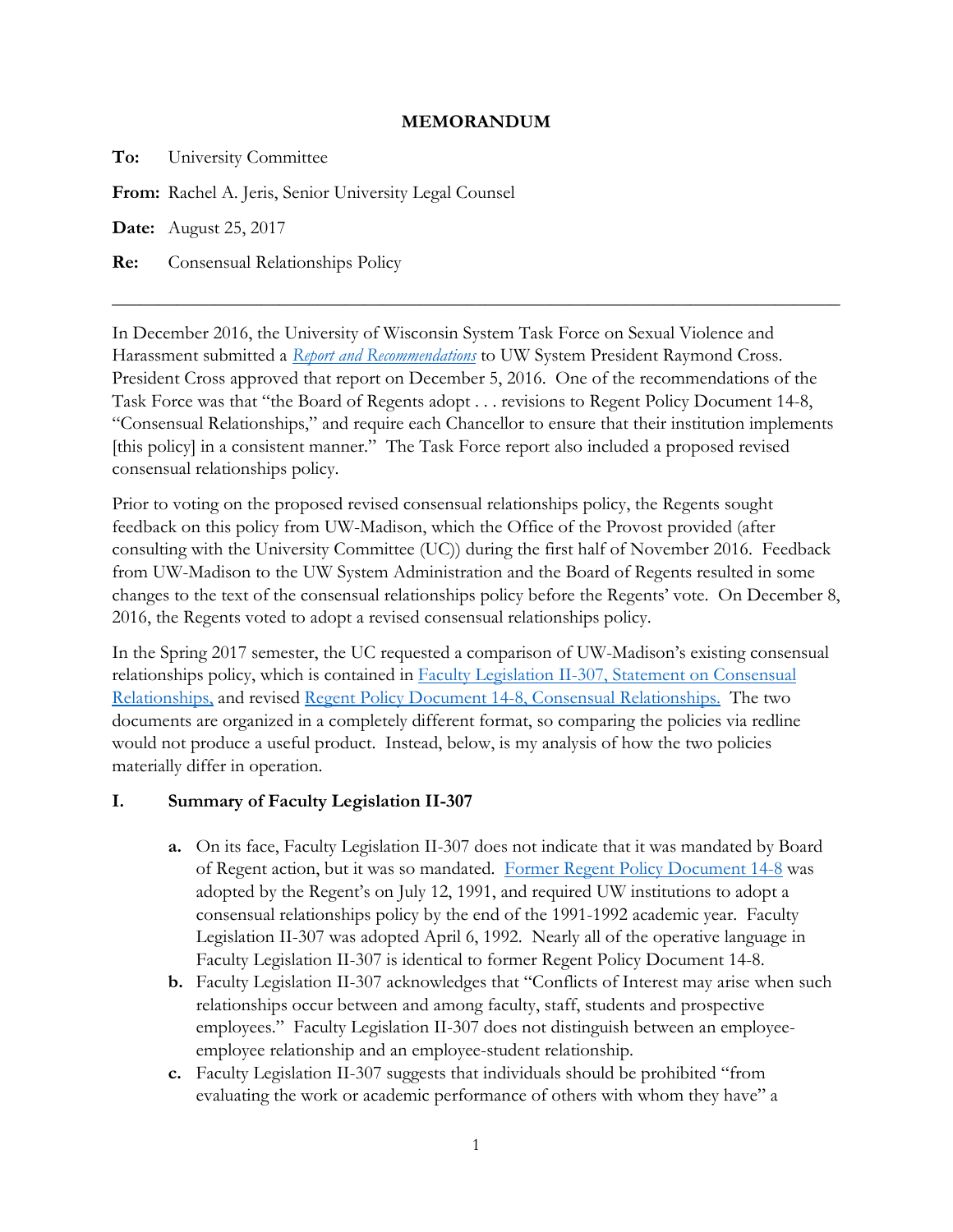## **MEMORANDUM**

**To:** University Committee

**From:** Rachel A. Jeris, Senior University Legal Counsel

**Date:** August 25, 2017

**Re:** Consensual Relationships Policy

In December 2016, the University of Wisconsin System Task Force on Sexual Violence and Harassment submitted a *[Report and Recommendations](https://www.wisconsin.edu/sexual-assault-harassment/download/UWS-SVH-Report.pdf)* to UW System President Raymond Cross. President Cross approved that report on December 5, 2016. One of the recommendations of the Task Force was that "the Board of Regents adopt . . . revisions to Regent Policy Document 14-8, "Consensual Relationships," and require each Chancellor to ensure that their institution implements [this policy] in a consistent manner." The Task Force report also included a proposed revised consensual relationships policy.

\_\_\_\_\_\_\_\_\_\_\_\_\_\_\_\_\_\_\_\_\_\_\_\_\_\_\_\_\_\_\_\_\_\_\_\_\_\_\_\_\_\_\_\_\_\_\_\_\_\_\_\_\_\_\_\_\_\_\_\_\_\_\_\_\_\_\_\_\_\_\_\_\_\_\_\_\_\_

Prior to voting on the proposed revised consensual relationships policy, the Regents sought feedback on this policy from UW-Madison, which the Office of the Provost provided (after consulting with the University Committee (UC)) during the first half of November 2016. Feedback from UW-Madison to the UW System Administration and the Board of Regents resulted in some changes to the text of the consensual relationships policy before the Regents' vote. On December 8, 2016, the Regents voted to adopt a revised consensual relationships policy.

In the Spring 2017 semester, the UC requested a comparison of UW-Madison's existing consensual relationships policy, which is contained in **Faculty Legislation II-307**, Statement on Consensual [Relationships,](https://secfac.wisc.edu/governance/faculty-legislation/ii-307-statement-on-consensual-relationships/) and revised [Regent Policy Document 14-8, Consensual Relationships.](https://www.wisconsin.edu/regents/policies/consensual-relationships/) The two documents are organized in a completely different format, so comparing the policies via redline would not produce a useful product. Instead, below, is my analysis of how the two policies materially differ in operation.

## **I. Summary of Faculty Legislation II-307**

- **a.** On its face, Faculty Legislation II-307 does not indicate that it was mandated by Board of Regent action, but it was so mandated. [Former Regent Policy Document 14-8](https://www.wisconsin.edu/sexual-assault-harassment/download/report_appendix/2016-0413-Regent-Policy-Document-14-8-Consensual-Relationship.pdf) was adopted by the Regent's on July 12, 1991, and required UW institutions to adopt a consensual relationships policy by the end of the 1991-1992 academic year. Faculty Legislation II-307 was adopted April 6, 1992. Nearly all of the operative language in Faculty Legislation II-307 is identical to former Regent Policy Document 14-8.
- **b.** Faculty Legislation II-307 acknowledges that "Conflicts of Interest may arise when such relationships occur between and among faculty, staff, students and prospective employees." Faculty Legislation II-307 does not distinguish between an employeeemployee relationship and an employee-student relationship.
- **c.** Faculty Legislation II-307 suggests that individuals should be prohibited "from evaluating the work or academic performance of others with whom they have" a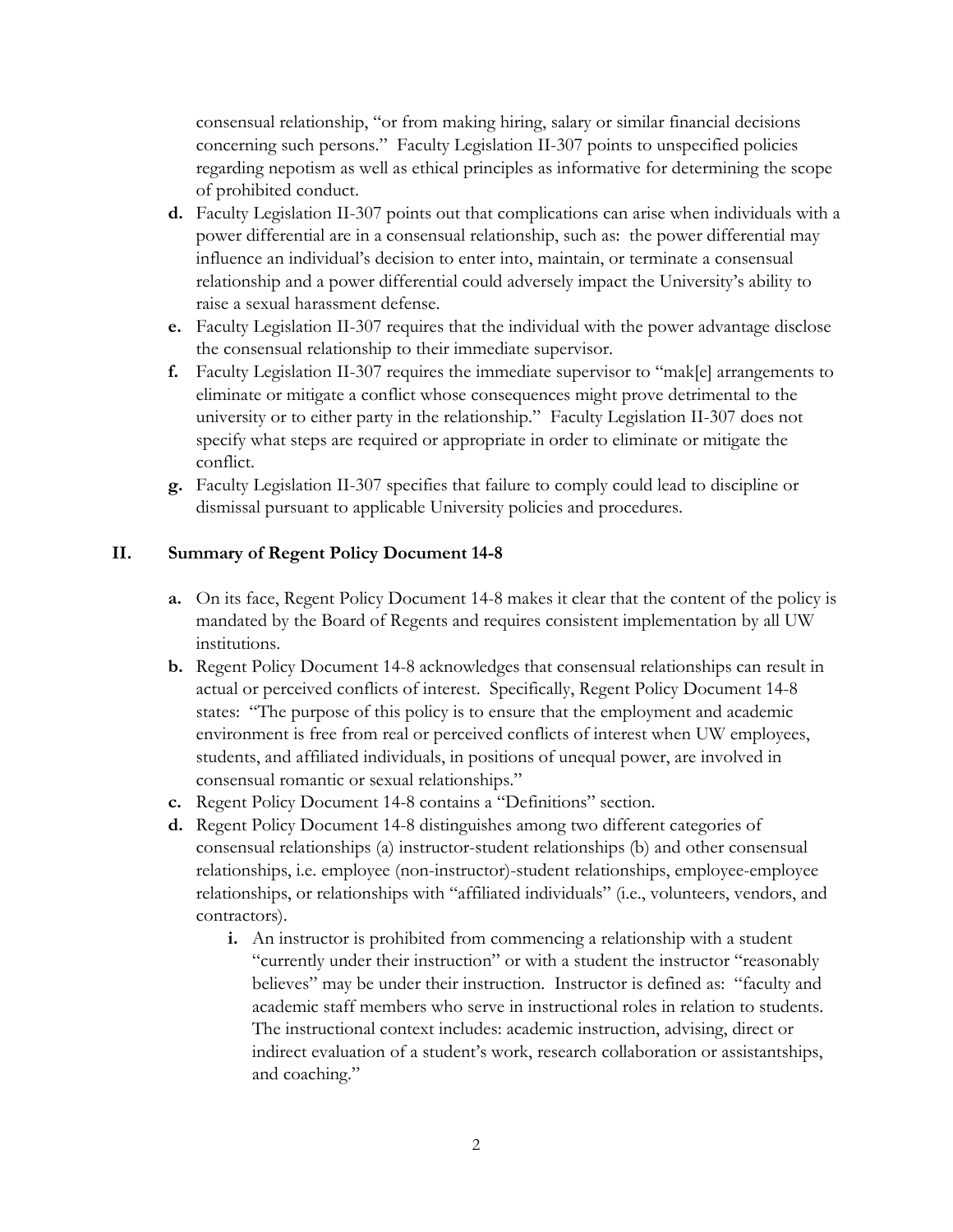consensual relationship, "or from making hiring, salary or similar financial decisions concerning such persons." Faculty Legislation II-307 points to unspecified policies regarding nepotism as well as ethical principles as informative for determining the scope of prohibited conduct.

- **d.** Faculty Legislation II-307 points out that complications can arise when individuals with a power differential are in a consensual relationship, such as: the power differential may influence an individual's decision to enter into, maintain, or terminate a consensual relationship and a power differential could adversely impact the University's ability to raise a sexual harassment defense.
- **e.** Faculty Legislation II-307 requires that the individual with the power advantage disclose the consensual relationship to their immediate supervisor.
- **f.** Faculty Legislation II-307 requires the immediate supervisor to "mak[e] arrangements to eliminate or mitigate a conflict whose consequences might prove detrimental to the university or to either party in the relationship." Faculty Legislation II-307 does not specify what steps are required or appropriate in order to eliminate or mitigate the conflict.
- **g.** Faculty Legislation II-307 specifies that failure to comply could lead to discipline or dismissal pursuant to applicable University policies and procedures.

## **II. Summary of Regent Policy Document 14-8**

- **a.** On its face, Regent Policy Document 14-8 makes it clear that the content of the policy is mandated by the Board of Regents and requires consistent implementation by all UW institutions.
- **b.** Regent Policy Document 14-8 acknowledges that consensual relationships can result in actual or perceived conflicts of interest. Specifically, Regent Policy Document 14-8 states: "The purpose of this policy is to ensure that the employment and academic environment is free from real or perceived conflicts of interest when UW employees, students, and affiliated individuals, in positions of unequal power, are involved in consensual romantic or sexual relationships."
- **c.** Regent Policy Document 14-8 contains a "Definitions" section.
- **d.** Regent Policy Document 14-8 distinguishes among two different categories of consensual relationships (a) instructor-student relationships (b) and other consensual relationships, i.e. employee (non-instructor)-student relationships, employee-employee relationships, or relationships with "affiliated individuals" (i.e., volunteers, vendors, and contractors).
	- **i.** An instructor is prohibited from commencing a relationship with a student "currently under their instruction" or with a student the instructor "reasonably believes" may be under their instruction. Instructor is defined as: "faculty and academic staff members who serve in instructional roles in relation to students. The instructional context includes: academic instruction, advising, direct or indirect evaluation of a student's work, research collaboration or assistantships, and coaching."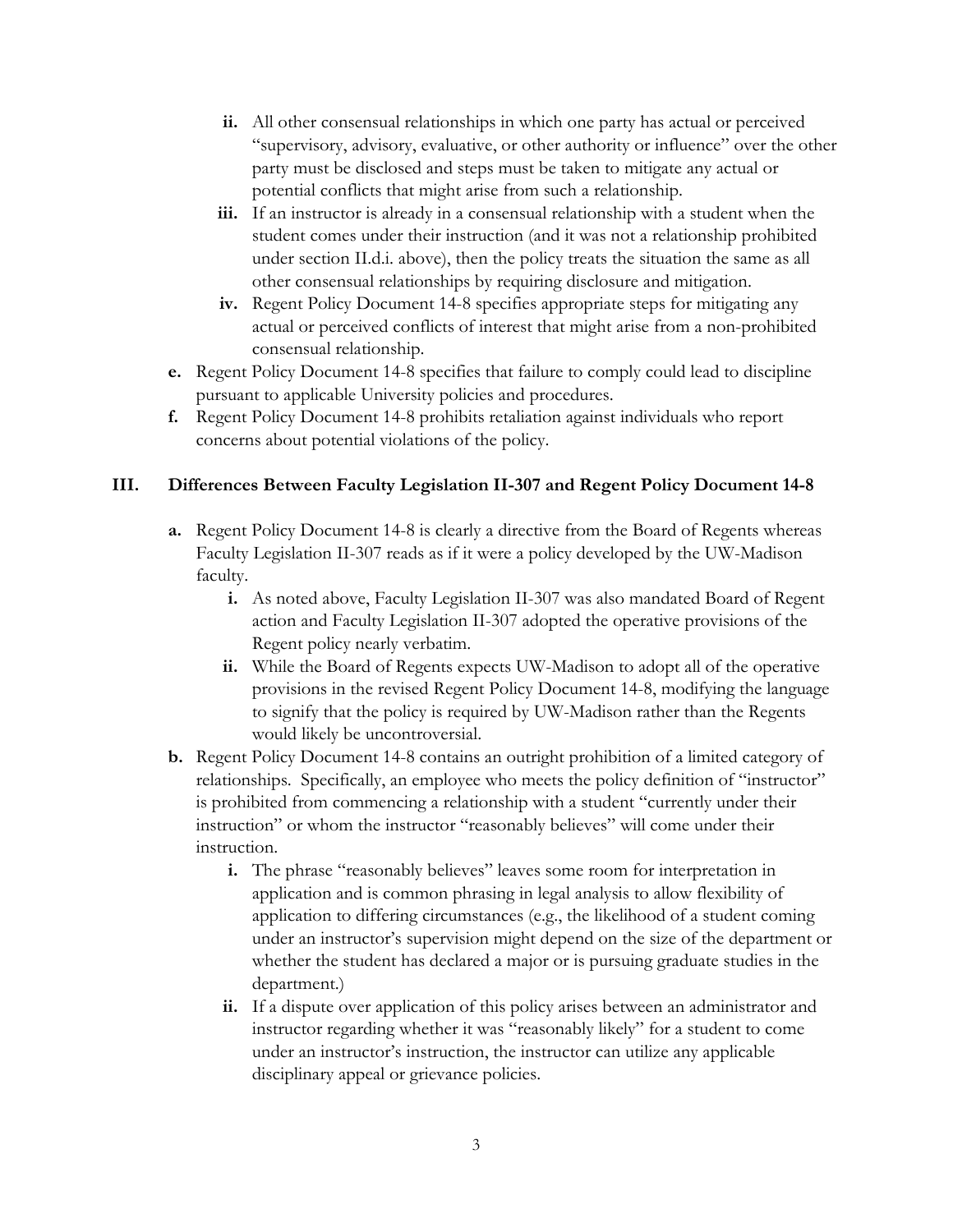- **ii.** All other consensual relationships in which one party has actual or perceived "supervisory, advisory, evaluative, or other authority or influence" over the other party must be disclosed and steps must be taken to mitigate any actual or potential conflicts that might arise from such a relationship.
- **iii.** If an instructor is already in a consensual relationship with a student when the student comes under their instruction (and it was not a relationship prohibited under section II.d.i. above), then the policy treats the situation the same as all other consensual relationships by requiring disclosure and mitigation.
- **iv.** Regent Policy Document 14-8 specifies appropriate steps for mitigating any actual or perceived conflicts of interest that might arise from a non-prohibited consensual relationship.
- **e.** Regent Policy Document 14-8 specifies that failure to comply could lead to discipline pursuant to applicable University policies and procedures.
- **f.** Regent Policy Document 14-8 prohibits retaliation against individuals who report concerns about potential violations of the policy.

## **III. Differences Between Faculty Legislation II-307 and Regent Policy Document 14-8**

- **a.** Regent Policy Document 14-8 is clearly a directive from the Board of Regents whereas Faculty Legislation II-307 reads as if it were a policy developed by the UW-Madison faculty.
	- **i.** As noted above, Faculty Legislation II-307 was also mandated Board of Regent action and Faculty Legislation II-307 adopted the operative provisions of the Regent policy nearly verbatim.
	- **ii.** While the Board of Regents expects UW-Madison to adopt all of the operative provisions in the revised Regent Policy Document 14-8, modifying the language to signify that the policy is required by UW-Madison rather than the Regents would likely be uncontroversial.
- **b.** Regent Policy Document 14-8 contains an outright prohibition of a limited category of relationships. Specifically, an employee who meets the policy definition of "instructor" is prohibited from commencing a relationship with a student "currently under their instruction" or whom the instructor "reasonably believes" will come under their instruction.
	- **i.** The phrase "reasonably believes" leaves some room for interpretation in application and is common phrasing in legal analysis to allow flexibility of application to differing circumstances (e.g., the likelihood of a student coming under an instructor's supervision might depend on the size of the department or whether the student has declared a major or is pursuing graduate studies in the department.)
	- **ii.** If a dispute over application of this policy arises between an administrator and instructor regarding whether it was "reasonably likely" for a student to come under an instructor's instruction, the instructor can utilize any applicable disciplinary appeal or grievance policies.